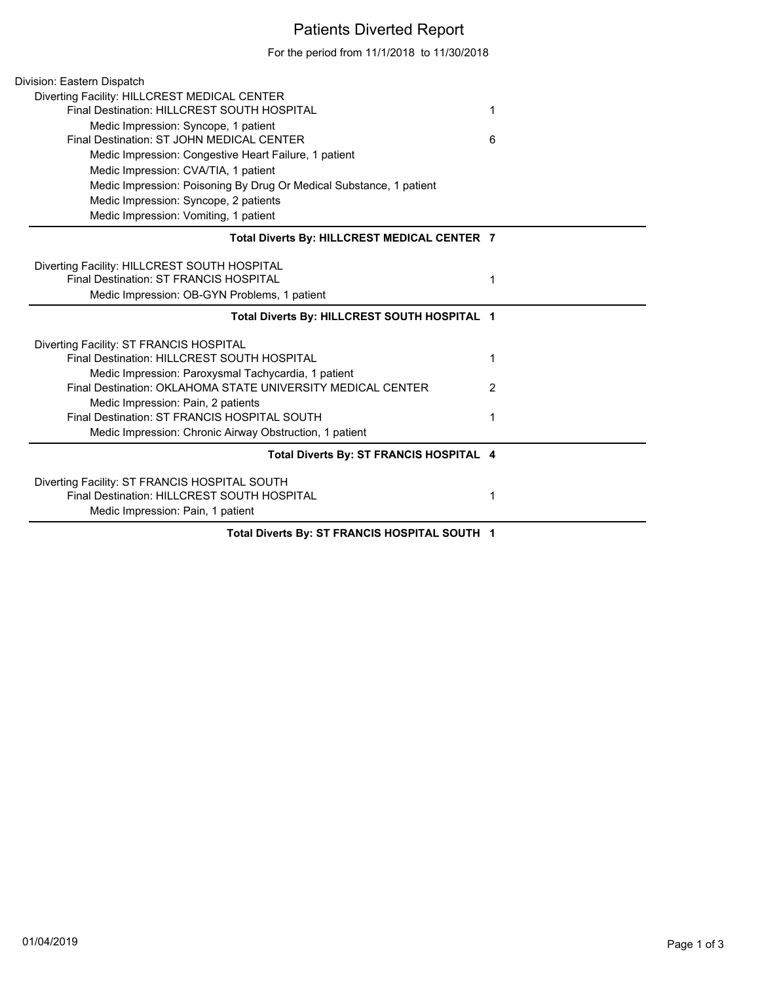## Patients Diverted Report

For the period from 11/1/2018 to 11/30/2018

| Division: Eastern Dispatch                                                                                         |   |
|--------------------------------------------------------------------------------------------------------------------|---|
| Diverting Facility: HILLCREST MEDICAL CENTER                                                                       |   |
| Final Destination: HILLCREST SOUTH HOSPITAL                                                                        | 1 |
| Medic Impression: Syncope, 1 patient                                                                               |   |
| Final Destination: ST JOHN MEDICAL CENTER                                                                          | 6 |
| Medic Impression: Congestive Heart Failure, 1 patient                                                              |   |
| Medic Impression: CVA/TIA, 1 patient                                                                               |   |
| Medic Impression: Poisoning By Drug Or Medical Substance, 1 patient                                                |   |
| Medic Impression: Syncope, 2 patients                                                                              |   |
| Medic Impression: Vomiting, 1 patient                                                                              |   |
| Total Diverts By: HILLCREST MEDICAL CENTER 7                                                                       |   |
| Diverting Facility: HILLCREST SOUTH HOSPITAL                                                                       |   |
| Final Destination: ST FRANCIS HOSPITAL                                                                             | 1 |
| Medic Impression: OB-GYN Problems, 1 patient                                                                       |   |
| Total Diverts By: HILLCREST SOUTH HOSPITAL 1                                                                       |   |
|                                                                                                                    |   |
|                                                                                                                    |   |
| Diverting Facility: ST FRANCIS HOSPITAL<br>Final Destination: HILLCREST SOUTH HOSPITAL                             | 1 |
|                                                                                                                    |   |
| Medic Impression: Paroxysmal Tachycardia, 1 patient<br>Final Destination: OKLAHOMA STATE UNIVERSITY MEDICAL CENTER | 2 |
| Medic Impression: Pain, 2 patients                                                                                 |   |
| Final Destination: ST FRANCIS HOSPITAL SOUTH                                                                       | 1 |
| Medic Impression: Chronic Airway Obstruction, 1 patient                                                            |   |
| Total Diverts By: ST FRANCIS HOSPITAL 4                                                                            |   |
|                                                                                                                    |   |
| Diverting Facility: ST FRANCIS HOSPITAL SOUTH<br>Final Destination: HILLCREST SOUTH HOSPITAL                       | 1 |
| Medic Impression: Pain, 1 patient                                                                                  |   |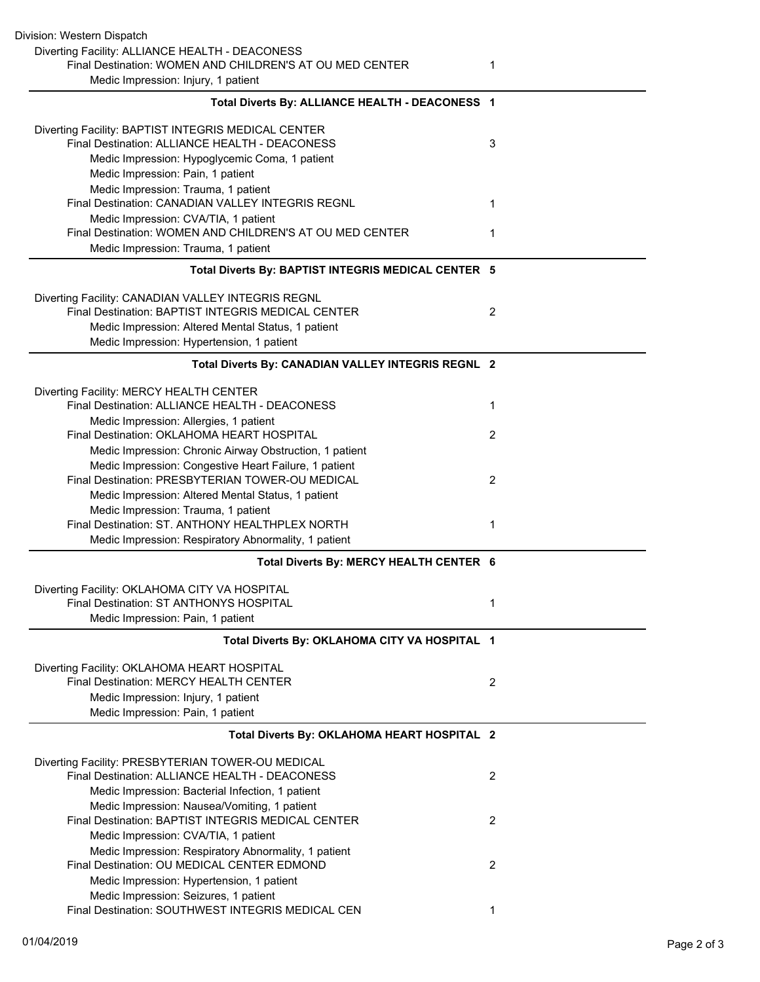| Division: Western Dispatch                               |                |
|----------------------------------------------------------|----------------|
| Diverting Facility: ALLIANCE HEALTH - DEACONESS          |                |
| Final Destination: WOMEN AND CHILDREN'S AT OU MED CENTER | 1              |
| Medic Impression: Injury, 1 patient                      |                |
| Total Diverts By: ALLIANCE HEALTH - DEACONESS 1          |                |
|                                                          |                |
| Diverting Facility: BAPTIST INTEGRIS MEDICAL CENTER      |                |
| Final Destination: ALLIANCE HEALTH - DEACONESS           | 3              |
| Medic Impression: Hypoglycemic Coma, 1 patient           |                |
| Medic Impression: Pain, 1 patient                        |                |
| Medic Impression: Trauma, 1 patient                      |                |
| Final Destination: CANADIAN VALLEY INTEGRIS REGNL        | 1              |
| Medic Impression: CVA/TIA, 1 patient                     |                |
| Final Destination: WOMEN AND CHILDREN'S AT OU MED CENTER | 1              |
| Medic Impression: Trauma, 1 patient                      |                |
| Total Diverts By: BAPTIST INTEGRIS MEDICAL CENTER 5      |                |
| Diverting Facility: CANADIAN VALLEY INTEGRIS REGNL       |                |
| Final Destination: BAPTIST INTEGRIS MEDICAL CENTER       | 2              |
| Medic Impression: Altered Mental Status, 1 patient       |                |
| Medic Impression: Hypertension, 1 patient                |                |
| Total Diverts By: CANADIAN VALLEY INTEGRIS REGNL 2       |                |
| Diverting Facility: MERCY HEALTH CENTER                  |                |
| Final Destination: ALLIANCE HEALTH - DEACONESS           | 1              |
| Medic Impression: Allergies, 1 patient                   |                |
| Final Destination: OKLAHOMA HEART HOSPITAL               | 2              |
| Medic Impression: Chronic Airway Obstruction, 1 patient  |                |
| Medic Impression: Congestive Heart Failure, 1 patient    |                |
| Final Destination: PRESBYTERIAN TOWER-OU MEDICAL         | 2              |
| Medic Impression: Altered Mental Status, 1 patient       |                |
| Medic Impression: Trauma, 1 patient                      |                |
| Final Destination: ST. ANTHONY HEALTHPLEX NORTH          | 1              |
| Medic Impression: Respiratory Abnormality, 1 patient     |                |
| Total Diverts By: MERCY HEALTH CENTER 6                  |                |
| Diverting Facility: OKLAHOMA CITY VA HOSPITAL            |                |
| Final Destination: ST ANTHONYS HOSPITAL                  | 1              |
| Medic Impression: Pain, 1 patient                        |                |
| Total Diverts By: OKLAHOMA CITY VA HOSPITAL 1            |                |
| Diverting Facility: OKLAHOMA HEART HOSPITAL              |                |
| Final Destination: MERCY HEALTH CENTER                   | 2              |
| Medic Impression: Injury, 1 patient                      |                |
| Medic Impression: Pain, 1 patient                        |                |
| Total Diverts By: OKLAHOMA HEART HOSPITAL 2              |                |
| Diverting Facility: PRESBYTERIAN TOWER-OU MEDICAL        |                |
| Final Destination: ALLIANCE HEALTH - DEACONESS           | $\overline{2}$ |
| Medic Impression: Bacterial Infection, 1 patient         |                |
| Medic Impression: Nausea/Vomiting, 1 patient             |                |
| Final Destination: BAPTIST INTEGRIS MEDICAL CENTER       | 2              |
| Medic Impression: CVA/TIA, 1 patient                     |                |
| Medic Impression: Respiratory Abnormality, 1 patient     |                |
| Final Destination: OU MEDICAL CENTER EDMOND              | 2              |
| Medic Impression: Hypertension, 1 patient                |                |
| Medic Impression: Seizures, 1 patient                    |                |
| Final Destination: SOUTHWEST INTEGRIS MEDICAL CEN        | 1              |